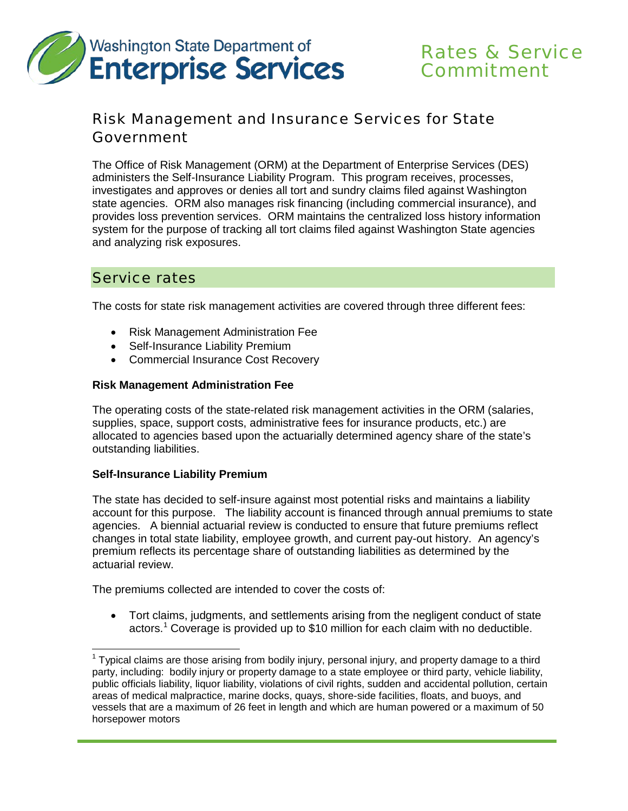

# Rates & Service **Commitment**

# Risk Management and Insurance Services for State Government

The Office of Risk Management (ORM) at the Department of Enterprise Services (DES) administers the Self-Insurance Liability Program. This program receives, processes, investigates and approves or denies all tort and sundry claims filed against Washington state agencies. ORM also manages risk financing (including commercial insurance), and provides loss prevention services. ORM maintains the centralized loss history information system for the purpose of tracking all tort claims filed against Washington State agencies and analyzing risk exposures.

### Service rates

The costs for state risk management activities are covered through three different fees:

- Risk Management Administration Fee
- Self-Insurance Liability Premium
- Commercial Insurance Cost Recovery

#### **Risk Management Administration Fee**

The operating costs of the state-related risk management activities in the ORM (salaries, supplies, space, support costs, administrative fees for insurance products, etc.) are allocated to agencies based upon the actuarially determined agency share of the state's outstanding liabilities.

#### **Self-Insurance Liability Premium**

The state has decided to self-insure against most potential risks and maintains a liability account for this purpose. The liability account is financed through annual premiums to state agencies. A biennial actuarial review is conducted to ensure that future premiums reflect changes in total state liability, employee growth, and current pay-out history. An agency's premium reflects its percentage share of outstanding liabilities as determined by the actuarial review.

The premiums collected are intended to cover the costs of:

• Tort claims, judgments, and settlements arising from the negligent conduct of state actors.<sup>[1](#page-0-0)</sup> Coverage is provided up to \$10 million for each claim with no deductible.

<span id="page-0-0"></span> $1$  Typical claims are those arising from bodily injury, personal injury, and property damage to a third party, including: bodily injury or property damage to a state employee or third party, vehicle liability, public officials liability, liquor liability, violations of civil rights, sudden and accidental pollution, certain areas of medical malpractice, marine docks, quays, shore-side facilities, floats, and buoys, and vessels that are a maximum of 26 feet in length and which are human powered or a maximum of 50 horsepower motors  $\overline{a}$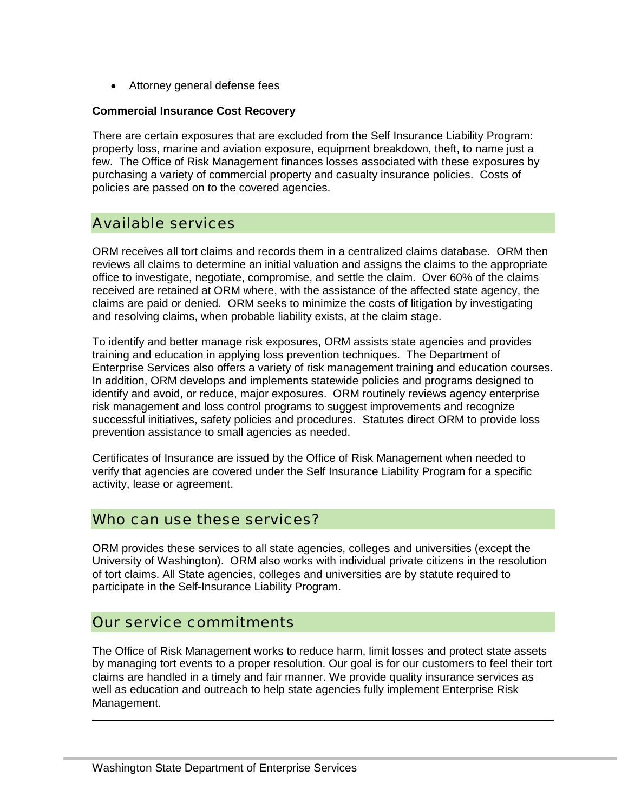• Attorney general defense fees

#### **Commercial Insurance Cost Recovery**

There are certain exposures that are excluded from the Self Insurance Liability Program: property loss, marine and aviation exposure, equipment breakdown, theft, to name just a few. The Office of Risk Management finances losses associated with these exposures by purchasing a variety of commercial property and casualty insurance policies. Costs of policies are passed on to the covered agencies.

## Available services

ORM receives all tort claims and records them in a centralized claims database. ORM then reviews all claims to determine an initial valuation and assigns the claims to the appropriate office to investigate, negotiate, compromise, and settle the claim. Over 60% of the claims received are retained at ORM where, with the assistance of the affected state agency, the claims are paid or denied. ORM seeks to minimize the costs of litigation by investigating and resolving claims, when probable liability exists, at the claim stage.

To identify and better manage risk exposures, ORM assists state agencies and provides training and education in applying loss prevention techniques. The Department of Enterprise Services also offers a variety of risk management training and education courses. In addition, ORM develops and implements statewide policies and programs designed to identify and avoid, or reduce, major exposures. ORM routinely reviews agency enterprise risk management and loss control programs to suggest improvements and recognize successful initiatives, safety policies and procedures. Statutes direct ORM to provide loss prevention assistance to small agencies as needed.

Certificates of Insurance are issued by the Office of Risk Management when needed to verify that agencies are covered under the Self Insurance Liability Program for a specific activity, lease or agreement.

### Who can use these services?

ORM provides these services to all state agencies, colleges and universities (except the University of Washington). ORM also works with individual private citizens in the resolution of tort claims. All State agencies, colleges and universities are by statute required to participate in the Self-Insurance Liability Program.

### Our service commitments

 $\overline{a}$ 

The Office of Risk Management works to reduce harm, limit losses and protect state assets by managing tort events to a proper resolution. Our goal is for our customers to feel their tort claims are handled in a timely and fair manner. We provide quality insurance services as well as education and outreach to help state agencies fully implement Enterprise Risk Management.